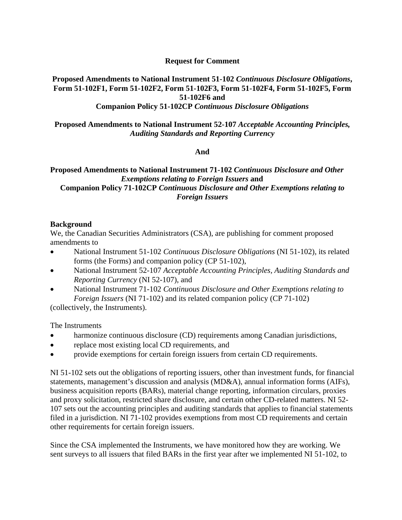## **Request for Comment**

# **Proposed Amendments to National Instrument 51-102** *Continuous Disclosure Obligations***, Form 51-102F1, Form 51-102F2, Form 51-102F3, Form 51-102F4, Form 51-102F5, Form 51-102F6 and**

# **Companion Policy 51-102CP** *Continuous Disclosure Obligations*

#### **Proposed Amendments to National Instrument 52-107** *Acceptable Accounting Principles, Auditing Standards and Reporting Currency*

#### **And**

#### **Proposed Amendments to National Instrument 71-102** *Continuous Disclosure and Other Exemptions relating to Foreign Issuers* **and Companion Policy 71-102CP** *Continuous Disclosure and Other Exemptions relating to Foreign Issuers*

#### **Background**

We, the Canadian Securities Administrators (CSA), are publishing for comment proposed amendments to

- National Instrument 51-102 *Continuous Disclosure Obligations* (NI 51-102), its related forms (the Forms) and companion policy (CP 51-102),
- National Instrument 52-107 *Acceptable Accounting Principles, Auditing Standards and Reporting Currency* (NI 52-107), and
- National Instrument 71-102 *Continuous Disclosure and Other Exemptions relating to Foreign Issuers* (NI 71-102) and its related companion policy (CP 71-102)

(collectively, the Instruments).

The Instruments

- harmonize continuous disclosure (CD) requirements among Canadian jurisdictions,
- replace most existing local CD requirements, and
- provide exemptions for certain foreign issuers from certain CD requirements.

NI 51-102 sets out the obligations of reporting issuers, other than investment funds, for financial statements, management's discussion and analysis (MD&A), annual information forms (AIFs), business acquisition reports (BARs), material change reporting, information circulars, proxies and proxy solicitation, restricted share disclosure, and certain other CD-related matters. NI 52- 107 sets out the accounting principles and auditing standards that applies to financial statements filed in a jurisdiction. NI 71-102 provides exemptions from most CD requirements and certain other requirements for certain foreign issuers.

Since the CSA implemented the Instruments, we have monitored how they are working. We sent surveys to all issuers that filed BARs in the first year after we implemented NI 51-102, to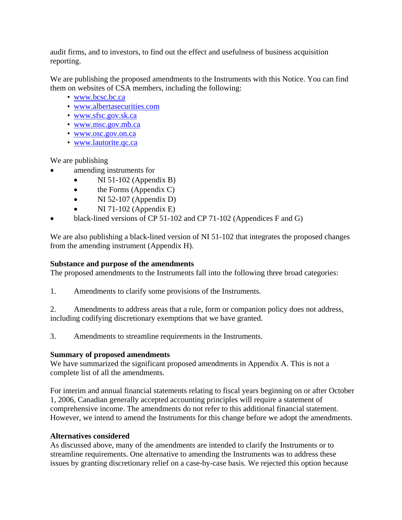audit firms, and to investors, to find out the effect and usefulness of business acquisition reporting.

We are publishing the proposed amendments to the Instruments with this Notice. You can find them on websites of CSA members, including the following:

- [www.bcsc.bc.ca](http://www.bcsc.bc.ca/)
- [www.albertasecurities.com](http://www.albertasecurities.com/)
- [www.sfsc.gov.sk.ca](http://www.sfsc.gov.sk.ca/)
- [www.msc.gov.mb.ca](http://www.msc.gov.mb.ca/)
- [www.osc.gov.on.ca](http://www.osc.gov.on.ca/)
- [www.lautorite.qc.ca](http://www.lautorite.qc.ca/)

We are publishing

- amending instruments for
	- NI 51-102 (Appendix B)
	- $\bullet$  the Forms (Appendix C)
	- NI 52-107 (Appendix D)
	- NI 71-102 (Appendix E)
- black-lined versions of CP 51-102 and CP 71-102 (Appendices F and G)

We are also publishing a black-lined version of NI 51-102 that integrates the proposed changes from the amending instrument (Appendix H).

## **Substance and purpose of the amendments**

The proposed amendments to the Instruments fall into the following three broad categories:

1. Amendments to clarify some provisions of the Instruments.

2. Amendments to address areas that a rule, form or companion policy does not address, including codifying discretionary exemptions that we have granted.

3. Amendments to streamline requirements in the Instruments.

## **Summary of proposed amendments**

We have summarized the significant proposed amendments in Appendix A. This is not a complete list of all the amendments.

For interim and annual financial statements relating to fiscal years beginning on or after October 1, 2006, Canadian generally accepted accounting principles will require a statement of comprehensive income. The amendments do not refer to this additional financial statement. However, we intend to amend the Instruments for this change before we adopt the amendments.

## **Alternatives considered**

As discussed above, many of the amendments are intended to clarify the Instruments or to streamline requirements. One alternative to amending the Instruments was to address these issues by granting discretionary relief on a case-by-case basis. We rejected this option because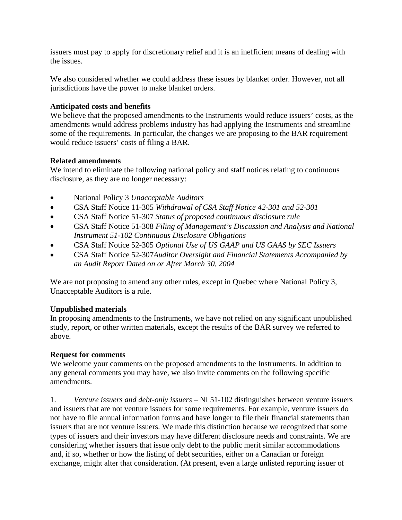issuers must pay to apply for discretionary relief and it is an inefficient means of dealing with the issues.

We also considered whether we could address these issues by blanket order. However, not all jurisdictions have the power to make blanket orders.

#### **Anticipated costs and benefits**

We believe that the proposed amendments to the Instruments would reduce issuers' costs, as the amendments would address problems industry has had applying the Instruments and streamline some of the requirements. In particular, the changes we are proposing to the BAR requirement would reduce issuers' costs of filing a BAR.

#### **Related amendments**

We intend to eliminate the following national policy and staff notices relating to continuous disclosure, as they are no longer necessary:

- National Policy 3 *Unacceptable Auditors*
- CSA Staff Notice 11-305 *Withdrawal of CSA Staff Notice 42-301 and 52-301*
- CSA Staff Notice 51-307 *Status of proposed continuous disclosure rule*
- CSA Staff Notice 51-308 *Filing of Management's Discussion and Analysis and National Instrument 51-102 Continuous Disclosure Obligations*
- CSA Staff Notice 52-305 *Optional Use of US GAAP and US GAAS by SEC Issuers*
- CSA Staff Notice 52-307*Auditor Oversight and Financial Statements Accompanied by an Audit Report Dated on or After March 30, 2004*

We are not proposing to amend any other rules, except in Quebec where National Policy 3, Unacceptable Auditors is a rule.

## **Unpublished materials**

In proposing amendments to the Instruments, we have not relied on any significant unpublished study, report, or other written materials, except the results of the BAR survey we referred to above.

## **Request for comments**

We welcome your comments on the proposed amendments to the Instruments. In addition to any general comments you may have, we also invite comments on the following specific amendments.

1. *Venture issuers and debt-only issuers* – NI 51-102 distinguishes between venture issuers and issuers that are not venture issuers for some requirements. For example, venture issuers do not have to file annual information forms and have longer to file their financial statements than issuers that are not venture issuers. We made this distinction because we recognized that some types of issuers and their investors may have different disclosure needs and constraints. We are considering whether issuers that issue only debt to the public merit similar accommodations and, if so, whether or how the listing of debt securities, either on a Canadian or foreign exchange, might alter that consideration. (At present, even a large unlisted reporting issuer of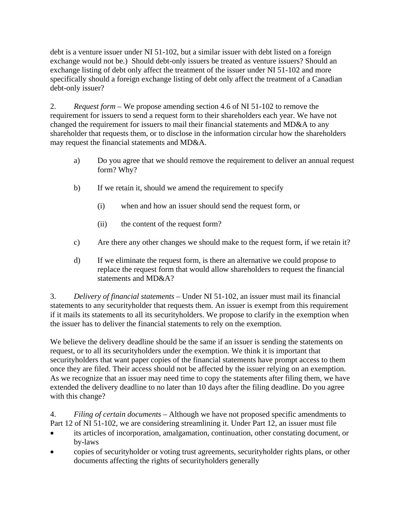debt is a venture issuer under NI 51-102, but a similar issuer with debt listed on a foreign exchange would not be.) Should debt-only issuers be treated as venture issuers? Should an exchange listing of debt only affect the treatment of the issuer under NI 51-102 and more specifically should a foreign exchange listing of debt only affect the treatment of a Canadian debt-only issuer?

2. *Request form –* We propose amending section 4.6 of NI 51-102 to remove the requirement for issuers to send a request form to their shareholders each year. We have not changed the requirement for issuers to mail their financial statements and MD&A to any shareholder that requests them, or to disclose in the information circular how the shareholders may request the financial statements and MD&A.

- a) Do you agree that we should remove the requirement to deliver an annual request form? Why?
- b) If we retain it, should we amend the requirement to specify
	- (i) when and how an issuer should send the request form, or
	- (ii) the content of the request form?
- c) Are there any other changes we should make to the request form, if we retain it?
- d) If we eliminate the request form, is there an alternative we could propose to replace the request form that would allow shareholders to request the financial statements and MD&A?

3. *Delivery of financial statements* – Under NI 51-102, an issuer must mail its financial statements to any securityholder that requests them. An issuer is exempt from this requirement if it mails its statements to all its securityholders. We propose to clarify in the exemption when the issuer has to deliver the financial statements to rely on the exemption.

We believe the delivery deadline should be the same if an issuer is sending the statements on request, or to all its securityholders under the exemption. We think it is important that securityholders that want paper copies of the financial statements have prompt access to them once they are filed. Their access should not be affected by the issuer relying on an exemption. As we recognize that an issuer may need time to copy the statements after filing them, we have extended the delivery deadline to no later than 10 days after the filing deadline. Do you agree with this change?

4. *Filing of certain documents* – Although we have not proposed specific amendments to Part 12 of NI 51-102, we are considering streamlining it. Under Part 12, an issuer must file

- its articles of incorporation, amalgamation, continuation, other constating document, or by-laws
- copies of securityholder or voting trust agreements, securityholder rights plans, or other documents affecting the rights of securityholders generally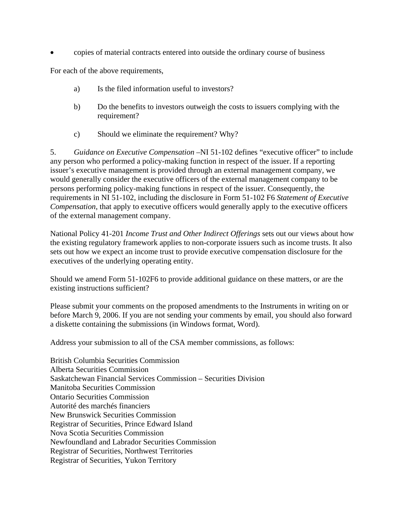• copies of material contracts entered into outside the ordinary course of business

For each of the above requirements,

- a) Is the filed information useful to investors?
- b) Do the benefits to investors outweigh the costs to issuers complying with the requirement?
- c) Should we eliminate the requirement? Why?

5. *Guidance on Executive Compensation* –NI 51-102 defines "executive officer" to include any person who performed a policy-making function in respect of the issuer. If a reporting issuer's executive management is provided through an external management company, we would generally consider the executive officers of the external management company to be persons performing policy-making functions in respect of the issuer. Consequently, the requirements in NI 51-102, including the disclosure in Form 51-102 F6 *Statement of Executive Compensation*, that apply to executive officers would generally apply to the executive officers of the external management company.

National Policy 41-201 *Income Trust and Other Indirect Offerings* sets out our views about how the existing regulatory framework applies to non-corporate issuers such as income trusts. It also sets out how we expect an income trust to provide executive compensation disclosure for the executives of the underlying operating entity.

Should we amend Form 51-102F6 to provide additional guidance on these matters, or are the existing instructions sufficient?

Please submit your comments on the proposed amendments to the Instruments in writing on or before March 9, 2006. If you are not sending your comments by email, you should also forward a diskette containing the submissions (in Windows format, Word).

Address your submission to all of the CSA member commissions, as follows:

British Columbia Securities Commission Alberta Securities Commission Saskatchewan Financial Services Commission – Securities Division Manitoba Securities Commission Ontario Securities Commission Autorité des marchés financiers New Brunswick Securities Commission Registrar of Securities, Prince Edward Island Nova Scotia Securities Commission Newfoundland and Labrador Securities Commission Registrar of Securities, Northwest Territories Registrar of Securities, Yukon Territory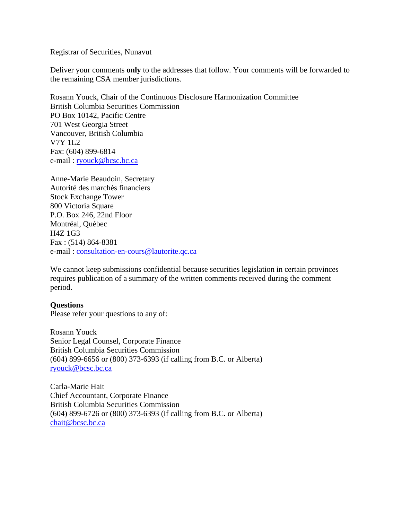Registrar of Securities, Nunavut

Deliver your comments **only** to the addresses that follow. Your comments will be forwarded to the remaining CSA member jurisdictions.

Rosann Youck, Chair of the Continuous Disclosure Harmonization Committee British Columbia Securities Commission PO Box 10142, Pacific Centre 701 West Georgia Street Vancouver, British Columbia V7Y 1L2 Fax: (604) 899-6814 e-mail: [ryouck@bcsc.bc.ca](mailto:ryouck@bcsc.bc.ca)

Anne-Marie Beaudoin, Secretary Autorité des marchés financiers Stock Exchange Tower 800 Victoria Square P.O. Box 246, 22nd Floor Montréal, Québec H4Z 1G3 Fax : (514) 864-8381 e-mail : [consultation-en-cours@lautorite.qc.ca](mailto:consultation-en-cours@lautorite.qc.ca) 

We cannot keep submissions confidential because securities legislation in certain provinces requires publication of a summary of the written comments received during the comment period.

#### **Questions**

Please refer your questions to any of:

Rosann Youck Senior Legal Counsel, Corporate Finance British Columbia Securities Commission (604) 899-6656 or (800) 373-6393 (if calling from B.C. or Alberta) [ryouck@bcsc.bc.ca](mailto:ryouck@bcsc.bc.ca)

Carla-Marie Hait Chief Accountant, Corporate Finance British Columbia Securities Commission (604) 899-6726 or (800) 373-6393 (if calling from B.C. or Alberta) [chait@bcsc.bc.ca](mailto:chait@bcsc.bc.ca)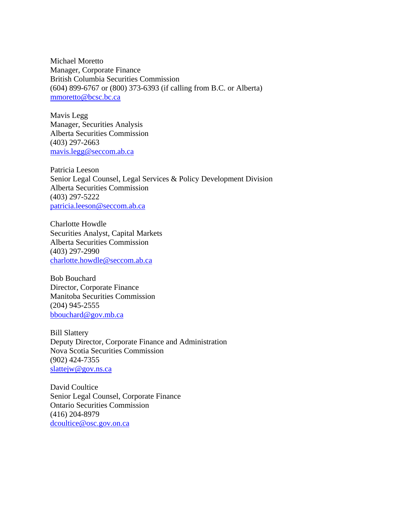Michael Moretto Manager, Corporate Finance British Columbia Securities Commission (604) 899-6767 or (800) 373-6393 (if calling from B.C. or Alberta) [mmoretto@bcsc.bc.ca](mailto:mmoretto@bcsc.bc.ca) 

Mavis Legg Manager, Securities Analysis Alberta Securities Commission (403) 297-2663 [mavis.legg@seccom.ab.ca](mailto:mavis.legg@seccom.ab.ca) 

Patricia Leeson Senior Legal Counsel, Legal Services & Policy Development Division Alberta Securities Commission (403) 297-5222 [patricia.leeson@seccom.ab.ca](mailto:patricia.leeson@seccom.ab.ca)

Charlotte Howdle Securities Analyst, Capital Markets Alberta Securities Commission (403) 297-2990 [charlotte.howdle@seccom.ab.ca](mailto:charlotte.howdle@seccom.ab.ca) 

Bob Bouchard Director, Corporate Finance Manitoba Securities Commission (204) 945-2555 [bbouchard@gov.mb.ca](mailto:bbouchard@gov.mb.ca)

Bill Slattery Deputy Director, Corporate Finance and Administration Nova Scotia Securities Commission (902) 424-7355 [slattejw@gov.ns.ca](mailto:slattejw@gov.ns.ca)

David Coultice Senior Legal Counsel, Corporate Finance Ontario Securities Commission (416) 204-8979 [dcoultice@osc.gov.on.ca](mailto:dcoultice@osc.gov.on.ca)